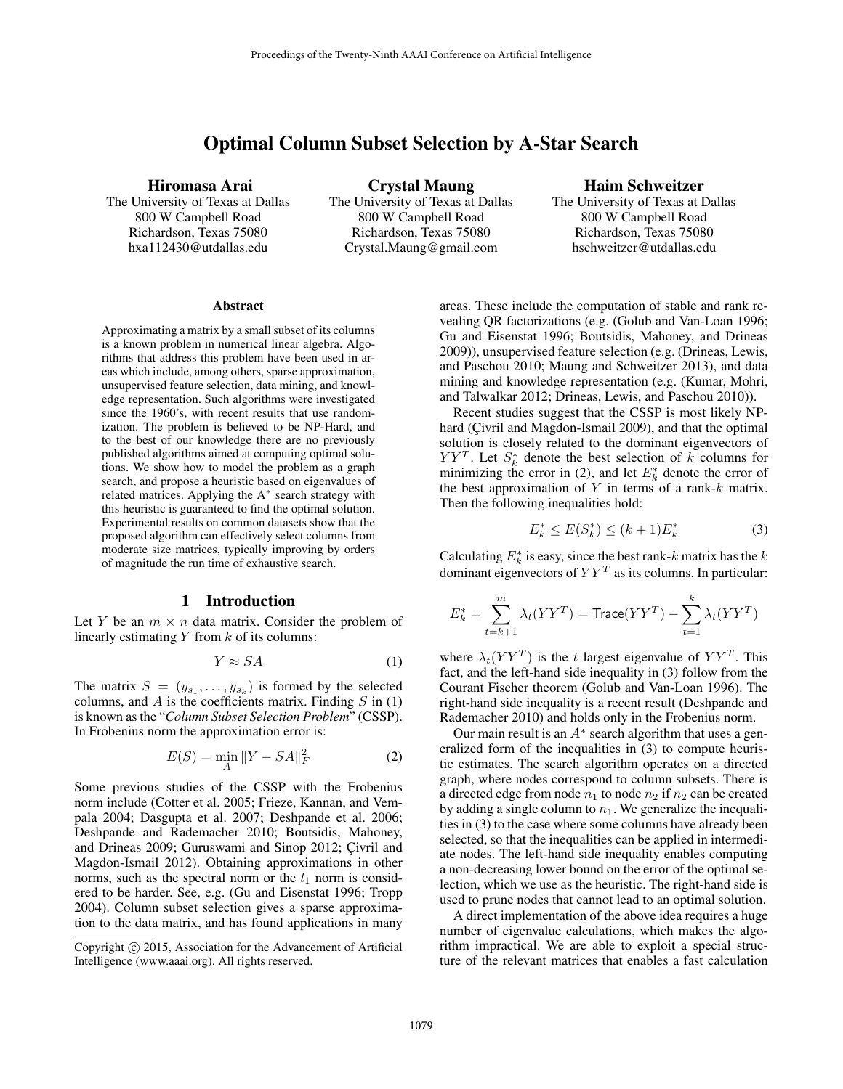# Optimal Column Subset Selection by A-Star Search

Hiromasa Arai

The University of Texas at Dallas 800 W Campbell Road Richardson, Texas 75080 hxa112430@utdallas.edu

Crystal Maung The University of Texas at Dallas 800 W Campbell Road Richardson, Texas 75080 Crystal.Maung@gmail.com

Haim Schweitzer

The University of Texas at Dallas 800 W Campbell Road Richardson, Texas 75080 hschweitzer@utdallas.edu

#### **Abstract**

Approximating a matrix by a small subset of its columns is a known problem in numerical linear algebra. Algorithms that address this problem have been used in areas which include, among others, sparse approximation, unsupervised feature selection, data mining, and knowledge representation. Such algorithms were investigated since the 1960's, with recent results that use randomization. The problem is believed to be NP-Hard, and to the best of our knowledge there are no previously published algorithms aimed at computing optimal solutions. We show how to model the problem as a graph search, and propose a heuristic based on eigenvalues of related matrices. Applying the A<sup>∗</sup> search strategy with this heuristic is guaranteed to find the optimal solution. Experimental results on common datasets show that the proposed algorithm can effectively select columns from moderate size matrices, typically improving by orders of magnitude the run time of exhaustive search.

#### 1 Introduction

Let Y be an  $m \times n$  data matrix. Consider the problem of linearly estimating  $Y$  from  $k$  of its columns:

$$
Y \approx SA \tag{1}
$$

The matrix  $S = (y_{s_1}, \ldots, y_{s_k})$  is formed by the selected columns, and  $A$  is the coefficients matrix. Finding  $S$  in (1) is known as the "*Column Subset Selection Problem*" (CSSP). In Frobenius norm the approximation error is:

$$
E(S) = \min_{A} \|Y - SA\|_{F}^{2}
$$
 (2)

Some previous studies of the CSSP with the Frobenius norm include (Cotter et al. 2005; Frieze, Kannan, and Vempala 2004; Dasgupta et al. 2007; Deshpande et al. 2006; Deshpande and Rademacher 2010; Boutsidis, Mahoney, and Drineas 2009; Guruswami and Sinop 2012; Çivril and Magdon-Ismail 2012). Obtaining approximations in other norms, such as the spectral norm or the  $l_1$  norm is considered to be harder. See, e.g. (Gu and Eisenstat 1996; Tropp 2004). Column subset selection gives a sparse approximation to the data matrix, and has found applications in many areas. These include the computation of stable and rank revealing QR factorizations (e.g. (Golub and Van-Loan 1996; Gu and Eisenstat 1996; Boutsidis, Mahoney, and Drineas 2009)), unsupervised feature selection (e.g. (Drineas, Lewis, and Paschou 2010; Maung and Schweitzer 2013), and data mining and knowledge representation (e.g. (Kumar, Mohri, and Talwalkar 2012; Drineas, Lewis, and Paschou 2010)).

Recent studies suggest that the CSSP is most likely NPhard (Civril and Magdon-Ismail 2009), and that the optimal solution is closely related to the dominant eigenvectors of  $YY<sup>T</sup>$ . Let  $S<sub>k</sub><sup>*</sup>$  denote the best selection of k columns for minimizing the error in (2), and let  $E_k^*$  denote the error of the best approximation of  $Y$  in terms of a rank- $k$  matrix. Then the following inequalities hold:

$$
E_k^* \le E(S_k^*) \le (k+1)E_k^* \tag{3}
$$

Calculating  $E_k^*$  is easy, since the best rank-k matrix has the k dominant eigenvectors of  $YY<sup>T</sup>$  as its columns. In particular:

$$
E_k^* = \sum_{t=k+1}^m \lambda_t (YY^T) = \text{Trace}(YY^T) - \sum_{t=1}^k \lambda_t (YY^T)
$$

where  $\lambda_t (YY^T)$  is the t largest eigenvalue of  $YY^T$ . This fact, and the left-hand side inequality in (3) follow from the Courant Fischer theorem (Golub and Van-Loan 1996). The right-hand side inequality is a recent result (Deshpande and Rademacher 2010) and holds only in the Frobenius norm.

Our main result is an  $A^*$  search algorithm that uses a generalized form of the inequalities in (3) to compute heuristic estimates. The search algorithm operates on a directed graph, where nodes correspond to column subsets. There is a directed edge from node  $n_1$  to node  $n_2$  if  $n_2$  can be created by adding a single column to  $n_1$ . We generalize the inequalities in (3) to the case where some columns have already been selected, so that the inequalities can be applied in intermediate nodes. The left-hand side inequality enables computing a non-decreasing lower bound on the error of the optimal selection, which we use as the heuristic. The right-hand side is used to prune nodes that cannot lead to an optimal solution.

A direct implementation of the above idea requires a huge number of eigenvalue calculations, which makes the algorithm impractical. We are able to exploit a special structure of the relevant matrices that enables a fast calculation

Copyright © 2015, Association for the Advancement of Artificial Intelligence (www.aaai.org). All rights reserved.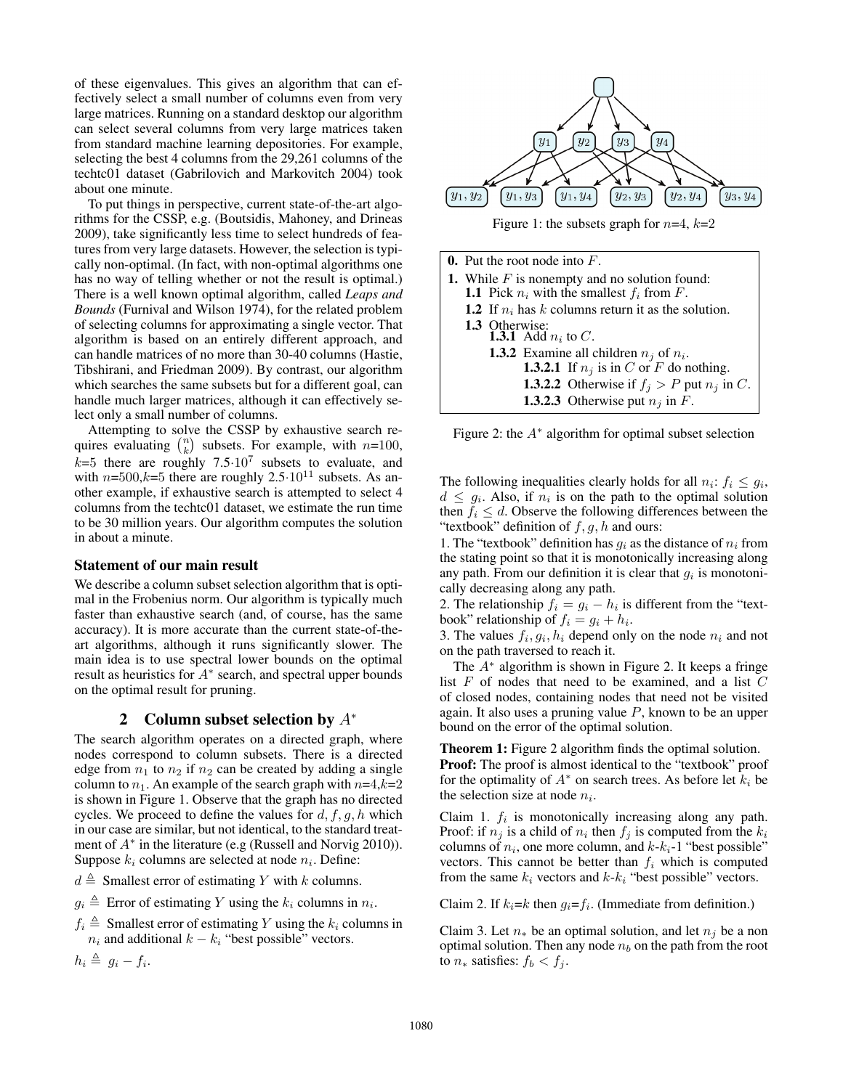of these eigenvalues. This gives an algorithm that can effectively select a small number of columns even from very large matrices. Running on a standard desktop our algorithm can select several columns from very large matrices taken from standard machine learning depositories. For example, selecting the best 4 columns from the 29,261 columns of the techtc01 dataset (Gabrilovich and Markovitch 2004) took about one minute.

To put things in perspective, current state-of-the-art algorithms for the CSSP, e.g. (Boutsidis, Mahoney, and Drineas 2009), take significantly less time to select hundreds of features from very large datasets. However, the selection is typically non-optimal. (In fact, with non-optimal algorithms one has no way of telling whether or not the result is optimal.) There is a well known optimal algorithm, called *Leaps and Bounds* (Furnival and Wilson 1974), for the related problem of selecting columns for approximating a single vector. That algorithm is based on an entirely different approach, and can handle matrices of no more than 30-40 columns (Hastie, Tibshirani, and Friedman 2009). By contrast, our algorithm which searches the same subsets but for a different goal, can handle much larger matrices, although it can effectively select only a small number of columns.

Attempting to solve the CSSP by exhaustive search requires evaluating  $\binom{n}{k}$  subsets. For example, with  $n=100$ ,  $k=5$  there are roughly 7.5 $\cdot 10^7$  subsets to evaluate, and with  $n=500$ , $k=5$  there are roughly  $2.5 \cdot 10^{11}$  subsets. As another example, if exhaustive search is attempted to select 4 columns from the techtc01 dataset, we estimate the run time to be 30 million years. Our algorithm computes the solution in about a minute.

#### Statement of our main result

We describe a column subset selection algorithm that is optimal in the Frobenius norm. Our algorithm is typically much faster than exhaustive search (and, of course, has the same accuracy). It is more accurate than the current state-of-theart algorithms, although it runs significantly slower. The main idea is to use spectral lower bounds on the optimal result as heuristics for  $A^*$  search, and spectral upper bounds on the optimal result for pruning.

#### 2 Column subset selection by  $A^*$

The search algorithm operates on a directed graph, where nodes correspond to column subsets. There is a directed edge from  $n_1$  to  $n_2$  if  $n_2$  can be created by adding a single column to  $n_1$ . An example of the search graph with  $n=4, k=2$ is shown in Figure 1. Observe that the graph has no directed cycles. We proceed to define the values for  $d, f, g, h$  which in our case are similar, but not identical, to the standard treatment of  $A^*$  in the literature (e.g (Russell and Norvig 2010)). Suppose  $k_i$  columns are selected at node  $n_i$ . Define:

 $d \triangleq$  Smallest error of estimating Y with k columns.

 $g_i \triangleq$  Error of estimating Y using the  $k_i$  columns in  $n_i$ .

 $f_i \triangleq$  Smallest error of estimating Y using the  $k_i$  columns in  $n_i$  and additional  $k - k_i$  "best possible" vectors.

$$
h_i \triangleq g_i - f_i.
$$



Figure 1: the subsets graph for  $n=4$ ,  $k=2$ 

| 0. Put the root node into $F$ .                                                                                 |  |  |  |  |
|-----------------------------------------------------------------------------------------------------------------|--|--|--|--|
| <b>1.</b> While $F$ is nonempty and no solution found:<br><b>1.1</b> Pick $n_i$ with the smallest $f_i$ from F. |  |  |  |  |
| 1.2 If $n_i$ has k columns return it as the solution.                                                           |  |  |  |  |
| 1.3 Otherwise:<br><b>1.3.1</b> Add $n_i$ to C.                                                                  |  |  |  |  |
| <b>1.3.2</b> Examine all children $n_j$ of $n_i$ .                                                              |  |  |  |  |
| <b>1.3.2.1</b> If $n_i$ is in C or F do nothing.                                                                |  |  |  |  |
| <b>1.3.2.2</b> Otherwise if $f_j > P$ put $n_j$ in C.                                                           |  |  |  |  |
| <b>1.3.2.3</b> Otherwise put $n_i$ in F.                                                                        |  |  |  |  |

Figure 2: the  $A^*$  algorithm for optimal subset selection

The following inequalities clearly holds for all  $n_i$ :  $f_i \leq g_i$ ,  $d \leq g_i$ . Also, if  $n_i$  is on the path to the optimal solution then  $f_i \leq d$ . Observe the following differences between the "textbook" definition of  $f, g, h$  and ours:

1. The "textbook" definition has  $q_i$  as the distance of  $n_i$  from the stating point so that it is monotonically increasing along any path. From our definition it is clear that  $g_i$  is monotonically decreasing along any path.

2. The relationship  $f_i = g_i - h_i$  is different from the "textbook" relationship of  $f_i = g_i + h_i$ .

3. The values  $f_i, g_i, h_i$  depend only on the node  $n_i$  and not on the path traversed to reach it.

The A<sup>∗</sup> algorithm is shown in Figure 2. It keeps a fringe list  $F$  of nodes that need to be examined, and a list  $C$ of closed nodes, containing nodes that need not be visited again. It also uses a pruning value  $P$ , known to be an upper bound on the error of the optimal solution.

Theorem 1: Figure 2 algorithm finds the optimal solution. **Proof:** The proof is almost identical to the "textbook" proof for the optimality of  $A^*$  on search trees. As before let  $k_i$  be the selection size at node  $n_i$ .

Claim 1.  $f_i$  is monotonically increasing along any path. Proof: if  $n_j$  is a child of  $n_i$  then  $f_j$  is computed from the  $k_i$ columns of  $n_i$ , one more column, and  $k-k_i-1$  "best possible" vectors. This cannot be better than  $f_i$  which is computed from the same  $k_i$  vectors and  $k-k_i$  "best possible" vectors.

Claim 2. If  $k_i = k$  then  $g_i = f_i$ . (Immediate from definition.)

Claim 3. Let  $n_*$  be an optimal solution, and let  $n_j$  be a non optimal solution. Then any node  $n_b$  on the path from the root to  $n_*$  satisfies:  $f_b < f_i$ .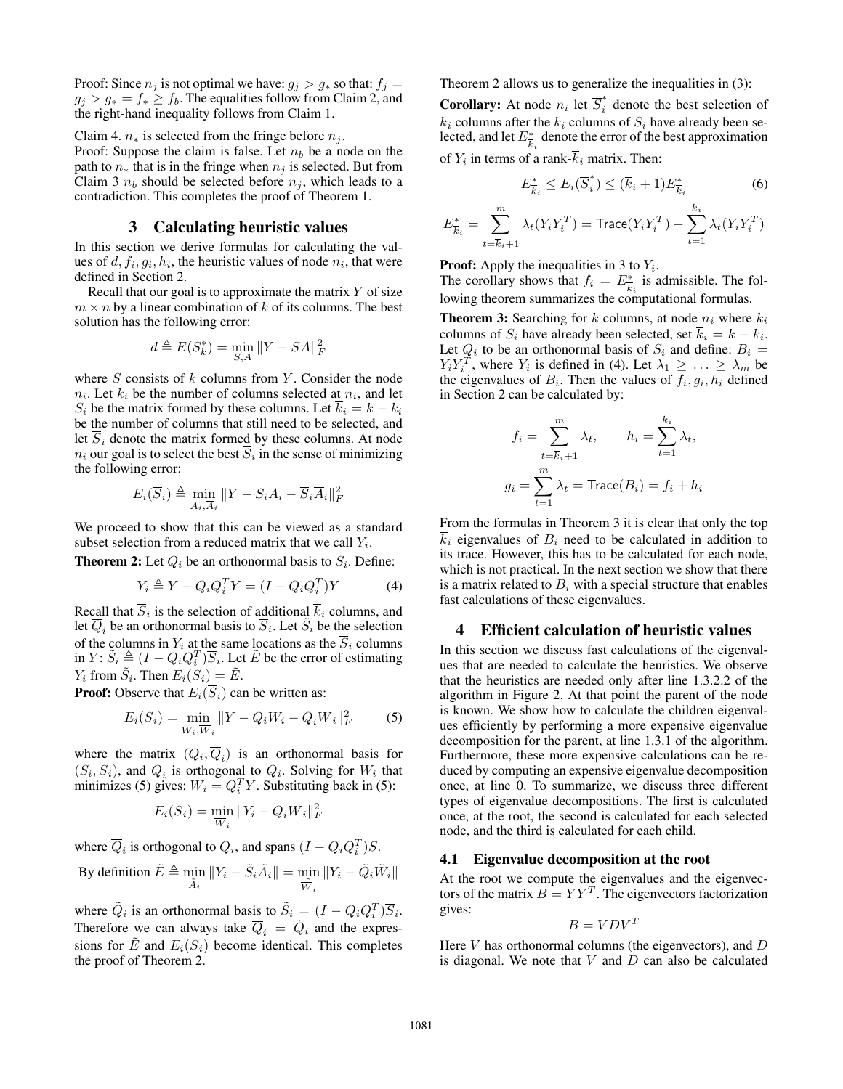Proof: Since  $n_j$  is not optimal we have:  $g_j > g_*$  so that:  $f_j =$  $g_j > g_* = f_* \geq f_b$ . The equalities follow from Claim 2, and the right-hand inequality follows from Claim 1.

Claim 4.  $n_*$  is selected from the fringe before  $n_i$ .

Proof: Suppose the claim is false. Let  $n_b$  be a node on the path to  $n_*$  that is in the fringe when  $n_j$  is selected. But from Claim 3  $n_b$  should be selected before  $n_i$ , which leads to a contradiction. This completes the proof of Theorem 1.

## 3 Calculating heuristic values

In this section we derive formulas for calculating the values of  $d, f_i, g_i, h_i$ , the heuristic values of node  $n_i$ , that were defined in Section 2.

Recall that our goal is to approximate the matrix  $Y$  of size  $m \times n$  by a linear combination of k of its columns. The best solution has the following error:

$$
d \triangleq E(S_k^*) = \min_{S,A} ||Y - SA||_F^2
$$

where  $S$  consists of  $k$  columns from  $Y$ . Consider the node  $n_i$ . Let  $k_i$  be the number of columns selected at  $n_i$ , and let  $S_i$  be the matrix formed by these columns. Let  $\overline{k}_i = k - k_i$ be the number of columns that still need to be selected, and let  $S_i$  denote the matrix formed by these columns. At node  $n_i$  our goal is to select the best  $\overline{S}_i$  in the sense of minimizing the following error:

$$
E_i(\overline{S}_i) \triangleq \min_{A_i, \overline{A}_i} \|Y - S_i A_i - \overline{S}_i \overline{A}_i\|_F^2
$$

We proceed to show that this can be viewed as a standard subset selection from a reduced matrix that we call  $Y_i$ .

**Theorem 2:** Let  $Q_i$  be an orthonormal basis to  $S_i$ . Define:

$$
Y_i \triangleq Y - Q_i Q_i^T Y = (I - Q_i Q_i^T) Y \tag{4}
$$

Recall that  $S_i$  is the selection of additional  $k_i$  columns, and let  $\overline{Q}_i$  be an orthonormal basis to  $\overline{S}_i$ . Let  $\tilde{S}_i$  be the selection of the columns in  $Y_i$  at the same locations as the  $\overline{S}_i$  columns in  $Y: \tilde{S}_i \triangleq (I - Q_i Q_i^T) \overline{S}_i$ . Let  $\tilde{E}$  be the error of estimating  $Y_i$  from  $\tilde{S}_i$ . Then  $E_i(\overline{S}_i) = \tilde{E}$ .

**Proof:** Observe that  $E_i(\overline{S}_i)$  can be written as:

$$
E_i(\overline{S}_i) = \min_{W_i, \overline{W}_i} \|Y - Q_i W_i - \overline{Q}_i \overline{W}_i\|_F^2 \tag{5}
$$

where the matrix  $(Q_i, \overline{Q}_i)$  is an orthonormal basis for  $(S_i, \overline{S}_i)$ , and  $\overline{Q}_i$  is orthogonal to  $Q_i$ . Solving for  $W_i$  that minimizes (5) gives:  $W_i = Q_i^T Y$ . Substituting back in (5):

$$
E_i(\overline{S}_i) = \min_{\overline{W}_i} ||Y_i - \overline{Q}_i \overline{W}_i||_F^2
$$

where  $\overline{Q}_i$  is orthogonal to  $Q_i$ , and spans  $(I - Q_i Q_i^T)S$ .

By definition 
$$
\tilde{E} \triangleq \min_{\tilde{A}_i} ||Y_i - \tilde{S}_i \tilde{A}_i|| = \min_{\tilde{W}_i} ||Y_i - \tilde{Q}_i \tilde{W}_i||
$$

where  $\tilde{Q}_i$  is an orthonormal basis to  $\tilde{S}_i = (I - Q_i Q_i^T) \overline{S}_i$ . Therefore we can always take  $\overline{Q}_i = \tilde{Q}_i$  and the expressions for  $\tilde{E}$  and  $E_i(\overline{S}_i)$  become identical. This completes the proof of Theorem 2.

Theorem 2 allows us to generalize the inequalities in (3):

**Corollary:** At node  $n_i$  let  $\overline{S}_i^*$  denote the best selection of  $k_i$  columns after the  $k_i$  columns of  $S_i$  have already been selected, and let  $E^*_{\overline{k}_i}$  denote the error of the best approximation of  $Y_i$  in terms of a rank- $k_i$  matrix. Then:

$$
E_{\overline{k}_i}^* \le E_i(\overline{S}_i^*) \le (\overline{k}_i + 1)E_{\overline{k}_i}^* \tag{6}
$$

$$
E_{\overline{k}_i}^* = \sum_{t=\overline{k}_i+1}^m \lambda_t(Y_i Y_i^T) = \text{Trace}(Y_i Y_i^T) - \sum_{t=1}^{k_i} \lambda_t(Y_i Y_i^T)
$$

**Proof:** Apply the inequalities in 3 to  $Y_i$ .

The corollary shows that  $f_i = E^*_{\overline{k}_i}$  is admissible. The following theorem summarizes the computational formulas.

**Theorem 3:** Searching for k columns, at node  $n_i$  where  $k_i$ columns of  $S_i$  have already been selected, set  $k_i = k - k_i$ . Let  $Q_i$  to be an orthonormal basis of  $S_i$  and define:  $B_i =$  $Y_i Y_i^T$ , where  $Y_i$  is defined in (4). Let  $\lambda_1 \geq \ldots \geq \lambda_m$  be the eigenvalues of  $B_i$ . Then the values of  $f_i, g_i, h_i$  defined in Section 2 can be calculated by:

$$
f_i = \sum_{t=\overline{k}_i+1}^m \lambda_t, \qquad h_i = \sum_{t=1}^{\overline{k}_i} \lambda_t,
$$
  

$$
g_i = \sum_{t=1}^m \lambda_t = \text{Trace}(B_i) = f_i + h_i
$$

From the formulas in Theorem 3 it is clear that only the top  $\overline{k}_i$  eigenvalues of  $B_i$  need to be calculated in addition to its trace. However, this has to be calculated for each node, which is not practical. In the next section we show that there is a matrix related to  $B_i$  with a special structure that enables fast calculations of these eigenvalues.

#### 4 Efficient calculation of heuristic values

In this section we discuss fast calculations of the eigenvalues that are needed to calculate the heuristics. We observe that the heuristics are needed only after line 1.3.2.2 of the algorithm in Figure 2. At that point the parent of the node is known. We show how to calculate the children eigenvalues efficiently by performing a more expensive eigenvalue decomposition for the parent, at line 1.3.1 of the algorithm. Furthermore, these more expensive calculations can be reduced by computing an expensive eigenvalue decomposition once, at line 0. To summarize, we discuss three different types of eigenvalue decompositions. The first is calculated once, at the root, the second is calculated for each selected node, and the third is calculated for each child.

#### 4.1 Eigenvalue decomposition at the root

At the root we compute the eigenvalues and the eigenvectors of the matrix  $B = YY^T$ . The eigenvectors factorization gives:

$$
B = VDV^T
$$

Here  $V$  has orthonormal columns (the eigenvectors), and  $D$ is diagonal. We note that  $V$  and  $D$  can also be calculated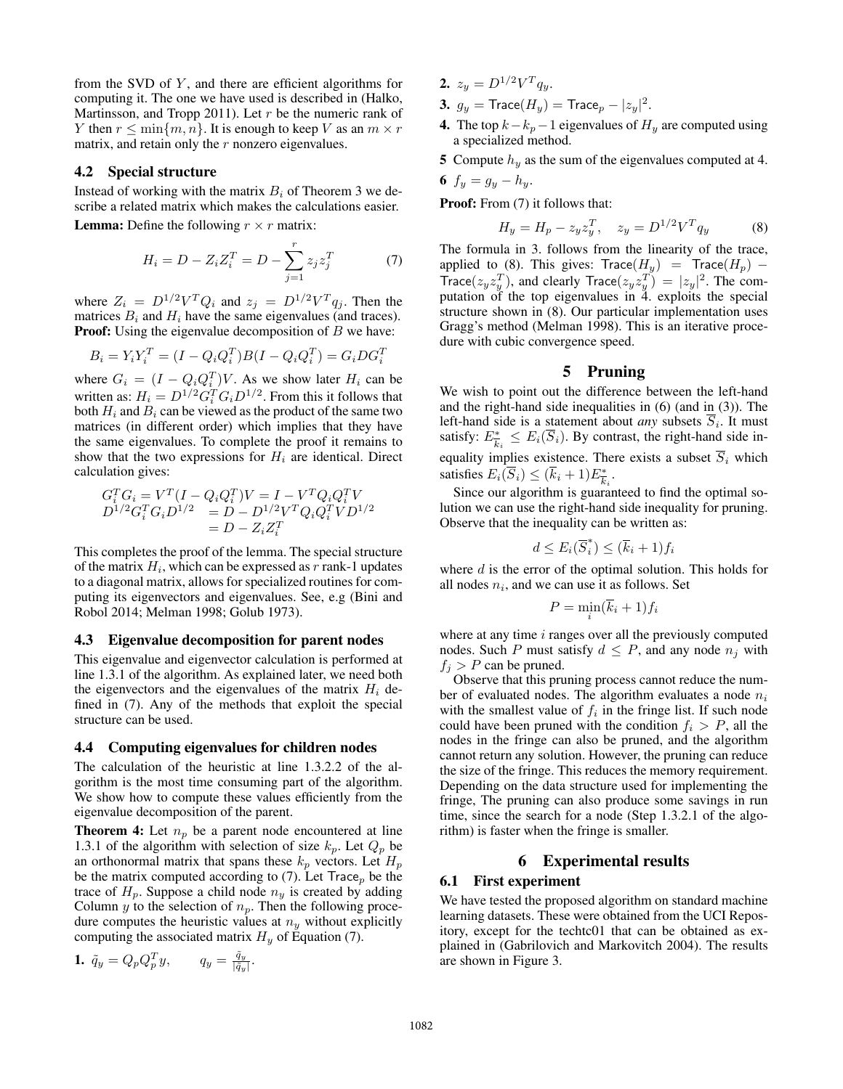from the SVD of  $Y$ , and there are efficient algorithms for computing it. The one we have used is described in (Halko, Martinsson, and Tropp 2011). Let  $r$  be the numeric rank of Y then  $r \leq \min\{m, n\}$ . It is enough to keep V as an  $m \times r$ matrix, and retain only the  $r$  nonzero eigenvalues.

### 4.2 Special structure

Instead of working with the matrix  $B_i$  of Theorem 3 we describe a related matrix which makes the calculations easier.

**Lemma:** Define the following  $r \times r$  matrix:

$$
H_i = D - Z_i Z_i^T = D - \sum_{j=1}^r z_j z_j^T \tag{7}
$$

where  $Z_i = D^{1/2}V^T Q_i$  and  $z_j = D^{1/2}V^T q_j$ . Then the matrices  $B_i$  and  $H_i$  have the same eigenvalues (and traces). **Proof:** Using the eigenvalue decomposition of  $B$  we have:

$$
B_i = Y_i Y_i^T = (I - Q_i Q_i^T) B (I - Q_i Q_i^T) = G_i D G_i^T
$$

where  $G_i = (I - Q_i Q_i^T)V$ . As we show later  $H_i$  can be written as:  $H_i = D^{1/2} G_i^T G_i D^{1/2}$ . From this it follows that both  $H_i$  and  $B_i$  can be viewed as the product of the same two matrices (in different order) which implies that they have the same eigenvalues. To complete the proof it remains to show that the two expressions for  $H_i$  are identical. Direct calculation gives:

$$
G_i^T G_i = V^T (I - Q_i Q_i^T) V = I - V^T Q_i Q_i^T V D^{1/2} G_i^T G_i D^{1/2} = D - D^{1/2} V^T Q_i Q_i^T V D^{1/2} = D - Z_i Z_i^T
$$

This completes the proof of the lemma. The special structure of the matrix  $H_i$ , which can be expressed as  $r$  rank-1 updates to a diagonal matrix, allows for specialized routines for computing its eigenvectors and eigenvalues. See, e.g (Bini and Robol 2014; Melman 1998; Golub 1973).

#### 4.3 Eigenvalue decomposition for parent nodes

This eigenvalue and eigenvector calculation is performed at line 1.3.1 of the algorithm. As explained later, we need both the eigenvectors and the eigenvalues of the matrix  $H_i$  defined in (7). Any of the methods that exploit the special structure can be used.

#### 4.4 Computing eigenvalues for children nodes

The calculation of the heuristic at line 1.3.2.2 of the algorithm is the most time consuming part of the algorithm. We show how to compute these values efficiently from the eigenvalue decomposition of the parent.

**Theorem 4:** Let  $n_p$  be a parent node encountered at line 1.3.1 of the algorithm with selection of size  $k_p$ . Let  $Q_p$  be an orthonormal matrix that spans these  $k_p$  vectors. Let  $H_p$ be the matrix computed according to (7). Let  $Trace_p$  be the trace of  $H_p$ . Suppose a child node  $n_y$  is created by adding Column  $y$  to the selection of  $n_p$ . Then the following procedure computes the heuristic values at  $n<sub>y</sub>$  without explicitly computing the associated matrix  $H_y$  of Equation (7).

$$
1. \ \tilde{q}_y = Q_p Q_p^T y, \qquad q_y = \frac{\tilde{q}_y}{|\tilde{q}_y|}.
$$

- 2.  $z_y = D^{1/2} V^T q_y$ .
- 3.  $g_y = \text{Trace}(H_y) = \text{Trace}_p |z_y|^2$ .
- 4. The top  $k-k_p-1$  eigenvalues of  $H_y$  are computed using a specialized method.
- 5 Compute  $h_y$  as the sum of the eigenvalues computed at 4.

$$
6\ f_y=g_y-h_y.
$$

Proof: From  $(7)$  it follows that:

$$
H_y = H_p - z_y z_y^T, \quad z_y = D^{1/2} V^T q_y \tag{8}
$$

The formula in 3. follows from the linearity of the trace, applied to (8). This gives: Trace( $H_y$ ) = Trace( $H_p$ ) – Trace $(z_y z_y^T)$ , and clearly Trace $(z_y z_y^T) = |z_y|^2$ . The computation of the top eigenvalues in 4. exploits the special structure shown in (8). Our particular implementation uses Gragg's method (Melman 1998). This is an iterative procedure with cubic convergence speed.

#### 5 Pruning

We wish to point out the difference between the left-hand and the right-hand side inequalities in (6) (and in (3)). The left-hand side is a statement about *any* subsets  $S_i$ . It must satisfy:  $E_{\overline{k}_i}^* \leq E_i(\overline{S}_i)$ . By contrast, the right-hand side inequality implies existence. There exists a subset  $\overline{S}_i$  which satisfies  $E_i(\overline{S}_i) \leq (\overline{k}_i + 1)E_{\overline{k}_i}^*$ .

Since our algorithm is guaranteed to find the optimal solution we can use the right-hand side inequality for pruning. Observe that the inequality can be written as:

$$
d \le E_i(\overline{S}_i^*) \le (\overline{k}_i + 1)f_i
$$

where  $d$  is the error of the optimal solution. This holds for all nodes  $n_i$ , and we can use it as follows. Set

$$
P = \min_i (k_i + 1) f_i
$$

where at any time  $i$  ranges over all the previously computed nodes. Such P must satisfy  $d \leq P$ , and any node  $n_i$  with  $f_j > P$  can be pruned.

Observe that this pruning process cannot reduce the number of evaluated nodes. The algorithm evaluates a node  $n_i$ with the smallest value of  $f_i$  in the fringe list. If such node could have been pruned with the condition  $f_i > P$ , all the nodes in the fringe can also be pruned, and the algorithm cannot return any solution. However, the pruning can reduce the size of the fringe. This reduces the memory requirement. Depending on the data structure used for implementing the fringe, The pruning can also produce some savings in run time, since the search for a node (Step 1.3.2.1 of the algorithm) is faster when the fringe is smaller.

## 6 Experimental results

#### 6.1 First experiment

We have tested the proposed algorithm on standard machine learning datasets. These were obtained from the UCI Repository, except for the techtc01 that can be obtained as explained in (Gabrilovich and Markovitch 2004). The results are shown in Figure 3.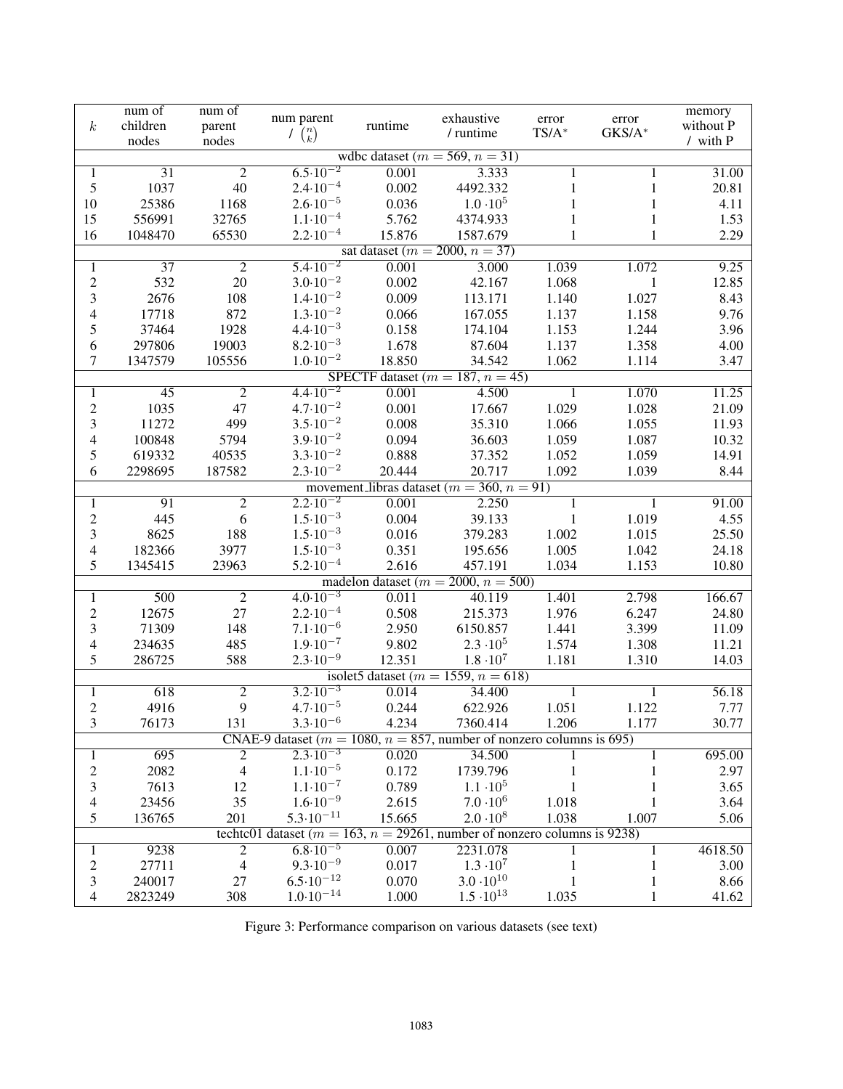|                                    | num of                                                                          | num of                           | num parent                                                                  |         |                                                  |                   |                 | memory    |  |
|------------------------------------|---------------------------------------------------------------------------------|----------------------------------|-----------------------------------------------------------------------------|---------|--------------------------------------------------|-------------------|-----------------|-----------|--|
| $\boldsymbol{k}$                   | children                                                                        | parent                           |                                                                             | runtime | exhaustive<br>/ runtime                          | error<br>$TS/A^*$ | error<br>GKS/A* | without P |  |
|                                    | nodes                                                                           | nodes                            | $\overline{\binom{n}{k}}$                                                   |         |                                                  |                   |                 | / with P  |  |
|                                    |                                                                                 |                                  |                                                                             |         | wdbc dataset ( $m = 569$ , $n = 31$ )            |                   |                 |           |  |
| 1                                  | 31                                                                              | $\overline{2}$                   | $6.5 \cdot 10^{-2}$                                                         | 0.001   | 3.333                                            | 1                 | 1               | 31.00     |  |
| 5                                  | 1037                                                                            | 40                               | $2.4 \cdot 10^{-4}$                                                         | 0.002   | 4492.332                                         | 1                 | 1               | 20.81     |  |
| 10                                 | 25386                                                                           | 1168                             | $2.6 \cdot 10^{-5}$                                                         | 0.036   | $1.0 \cdot 10^5$                                 | 1                 | 1               | 4.11      |  |
| 15                                 | 556991                                                                          | 32765                            | $1.1 \cdot 10^{-4}$                                                         | 5.762   | 4374.933                                         | 1                 | 1               | 1.53      |  |
| 16                                 | 1048470                                                                         | 65530                            | $2.2 \cdot 10^{-4}$                                                         | 15.876  | 1587.679                                         | 1                 | 1               | 2.29      |  |
| sat dataset ( $m = 2000, n = 37$ ) |                                                                                 |                                  |                                                                             |         |                                                  |                   |                 |           |  |
| 1                                  | $\overline{37}$                                                                 | $\overline{2}$                   | $5.4 \cdot 10^{-2}$                                                         | 0.001   | 3.000                                            | 1.039             | 1.072           | 9.25      |  |
| $\mathbf{2}$                       | 532                                                                             | $20\,$                           | $3.0 \cdot 10^{-2}$                                                         | 0.002   | 42.167                                           | 1.068             | $\mathbf{1}$    | 12.85     |  |
| 3                                  | 2676                                                                            | 108                              | $1.4 \cdot 10^{-2}$                                                         | 0.009   | 113.171                                          | 1.140             | 1.027           | 8.43      |  |
| 4                                  | 17718                                                                           | 872                              | $1.3 \cdot 10^{-2}$                                                         | 0.066   | 167.055                                          | 1.137             | 1.158           | 9.76      |  |
| 5                                  | 37464                                                                           | 1928                             | $4.4 \cdot 10^{-3}$                                                         | 0.158   | 174.104                                          | 1.153             | 1.244           | 3.96      |  |
| 6                                  | 297806                                                                          | 19003                            | $8.2 \cdot 10^{-3}$                                                         | 1.678   | 87.604                                           | 1.137             | 1.358           | 4.00      |  |
| $\tau$                             | 1347579                                                                         | 105556                           | $1.0 \cdot 10^{-2}$                                                         | 18.850  | 34.542                                           | 1.062             | 1.114           | 3.47      |  |
| SPECTF dataset $(m = 187, n = 45)$ |                                                                                 |                                  |                                                                             |         |                                                  |                   |                 |           |  |
| 1                                  | $\overline{45}$                                                                 | $\overline{2}$                   | $4.4 \cdot 10^{-2}$                                                         | 0.001   | 4.500                                            | 1                 | 1.070           | 11.25     |  |
| $\mathbf{2}$                       | 1035                                                                            | 47                               | $4.7 \cdot 10^{-2}$                                                         | 0.001   | 17.667                                           | 1.029             | 1.028           | 21.09     |  |
| 3                                  | 11272                                                                           | 499                              | $3.5 \cdot 10^{-2}$                                                         | 0.008   | 35.310                                           | 1.066             | 1.055           | 11.93     |  |
| 4                                  | 100848                                                                          | 5794                             | $3.9 \cdot 10^{-2}$                                                         | 0.094   | 36.603                                           | 1.059             | 1.087           | 10.32     |  |
| 5                                  | 619332                                                                          | 40535                            | $3.3 \cdot 10^{-2}$                                                         | 0.888   | 37.352                                           | 1.052             | 1.059           | 14.91     |  |
| 6                                  | 2298695                                                                         | 187582                           | $2.3 \cdot 10^{-2}$                                                         | 20.444  | 20.717                                           | 1.092             | 1.039           | 8.44      |  |
|                                    |                                                                                 |                                  |                                                                             |         | movement_libras dataset ( $m = 360$ , $n = 91$ ) |                   |                 |           |  |
| $\mathbf{1}$                       | 91                                                                              | $\overline{2}$                   | $2.2 \cdot 10^{-2}$                                                         | 0.001   | 2.250                                            | $\mathbf 1$       | 1               | 91.00     |  |
| $\overline{c}$                     | 445                                                                             | 6                                | $1.5 \cdot 10^{-3}$                                                         | 0.004   | 39.133                                           | $\mathbf{1}$      | 1.019           | 4.55      |  |
| 3                                  | 8625                                                                            | 188                              | $1.5 \cdot 10^{-3}$                                                         | 0.016   | 379.283                                          | 1.002             | 1.015           | 25.50     |  |
| 4                                  | 182366                                                                          | 3977                             | $1.5 \cdot 10^{-3}$                                                         | 0.351   | 195.656                                          | 1.005             | 1.042           | 24.18     |  |
| 5                                  | 1345415                                                                         | 23963                            | $5.2 \cdot 10^{-4}$                                                         | 2.616   | 457.191                                          | 1.034             | 1.153           | 10.80     |  |
|                                    |                                                                                 |                                  |                                                                             |         | madelon dataset ( $m = 2000$ , $n = 500$ )       |                   |                 |           |  |
| $\overline{1}$                     | 500                                                                             | $\overline{2}$                   | $4.0 \cdot 10^{-3}$                                                         | 0.011   | 40.119                                           | 1.401             | 2.798           | 166.67    |  |
| $\sqrt{2}$                         | 12675                                                                           | 27                               | $2.2 \cdot 10^{-4}$                                                         | 0.508   | 215.373                                          | 1.976             | 6.247           | 24.80     |  |
| 3                                  | 71309                                                                           | 148                              | $7.1 \cdot 10^{-6}$                                                         | 2.950   | 6150.857                                         | 1.441             | 3.399           | 11.09     |  |
| 4                                  | 234635                                                                          | 485                              | $1.9 \cdot 10^{-7}$                                                         | 9.802   | $2.3 \cdot 10^5$                                 | 1.574             | 1.308           | 11.21     |  |
| 5                                  | 286725                                                                          | 588                              | $2.3 \cdot 10^{-9}$                                                         | 12.351  | $1.8 \cdot 10^7$                                 | 1.181             | 1.310           | 14.03     |  |
|                                    |                                                                                 |                                  |                                                                             |         | isolet5 dataset ( $m = 1559$ , $n = 618$ )       |                   |                 |           |  |
| 1                                  | 618                                                                             | $\overline{2}$                   | $3.2 \cdot 10^{-3}$                                                         | 0.014   | 34.400                                           | 1                 | 1               | 56.18     |  |
| $\sqrt{2}$                         | 4916                                                                            | $\mathbf{9}$                     | $4.7 \cdot 10^{-5}$                                                         | 0.244   | 622.926                                          | 1.051             | 1.122           | 7.77      |  |
|                                    |                                                                                 |                                  | $3.3 \cdot 10^{-6}$                                                         |         |                                                  |                   |                 | 30.77     |  |
| 3                                  | 76173                                                                           | 131                              | CNAE-9 dataset ( $m = 1080$ , $n = 857$ , number of nonzero columns is 695) | 4.234   | 7360.414                                         | 1.206             | 1.177           |           |  |
|                                    | 695                                                                             |                                  | $2.3 \cdot 10^{-3}$                                                         | 0.020   | 34.500                                           |                   |                 | 695.00    |  |
| 1                                  | 2082                                                                            | $\overline{c}$<br>$\overline{4}$ | $1.1 \cdot 10^{-5}$                                                         | 0.172   | 1739.796                                         |                   |                 | 2.97      |  |
| $\overline{c}$                     |                                                                                 |                                  |                                                                             |         |                                                  |                   |                 |           |  |
| 3                                  | 7613                                                                            | 12<br>35                         | $1.1 \cdot 10^{-7}$<br>$1.6 \cdot 10^{-9}$                                  | 0.789   | $1.1 \cdot 10^5$<br>$7.0 \cdot 10^6$             |                   |                 | 3.65      |  |
| 4                                  | 23456                                                                           |                                  |                                                                             | 2.615   |                                                  | 1.018             |                 | 3.64      |  |
| 5                                  | 136765                                                                          | 201                              | $5.3 \cdot 10^{-11}$                                                        | 15.665  | $2.0 \cdot 10^8$                                 | 1.038             | 1.007           | 5.06      |  |
|                                    | techtc01 dataset ( $m = 163$ , $n = 29261$ , number of nonzero columns is 9238) |                                  |                                                                             |         |                                                  |                   |                 |           |  |
| $\mathbf{1}$                       | 9238                                                                            | $\overline{2}$                   | $6.8 \cdot 10^{-5}$                                                         | 0.007   | 2231.078                                         |                   | 1               | 4618.50   |  |
| $\boldsymbol{2}$                   | 27711                                                                           | $\overline{4}$                   | $9.3 \cdot 10^{-9}$                                                         | 0.017   | $1.3 \cdot 10^7$                                 |                   | 1               | 3.00      |  |
| $\mathfrak{Z}$                     | 240017                                                                          | 27                               | $6.5 \cdot 10^{-12}$                                                        | 0.070   | $3.0 \cdot 10^{10}$                              |                   | $\mathbf{1}$    | 8.66      |  |
| $\overline{4}$                     | 2823249                                                                         | 308                              | $1.0\!\cdot\!10^{-14}$                                                      | 1.000   | $1.5 \cdot 10^{13}$                              | 1.035             | $\mathbf{1}$    | 41.62     |  |

Figure 3: Performance comparison on various datasets (see text)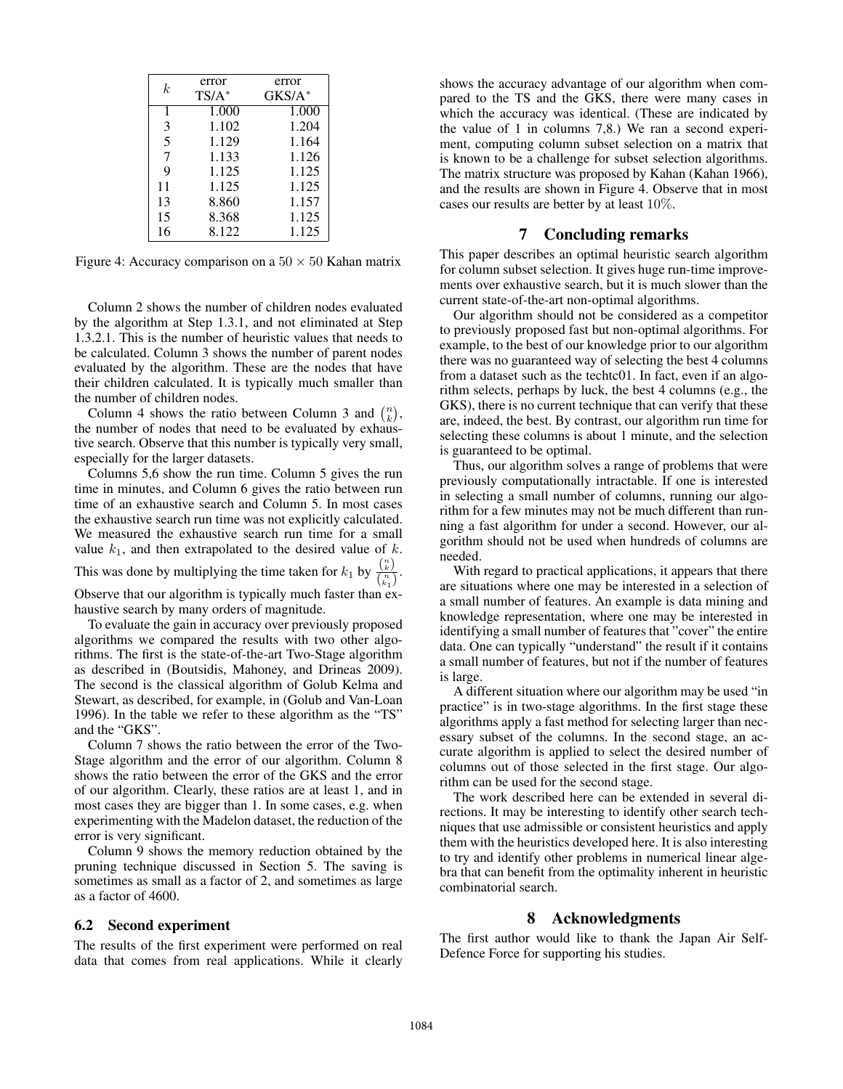| k. | error    | error              |
|----|----------|--------------------|
|    | $TS/A^*$ | $GKS/A^*$          |
| 1  | 1.000    | $1.\overline{000}$ |
| 3  | 1.102    | 1.204              |
| 5  | 1.129    | 1.164              |
| 7  | 1.133    | 1.126              |
| 9  | 1.125    | 1.125              |
| 11 | 1.125    | 1.125              |
| 13 | 8.860    | 1.157              |
| 15 | 8.368    | 1.125              |
| 16 | 8.122    | 1.125              |

Figure 4: Accuracy comparison on a  $50 \times 50$  Kahan matrix

Column 2 shows the number of children nodes evaluated by the algorithm at Step 1.3.1, and not eliminated at Step 1.3.2.1. This is the number of heuristic values that needs to be calculated. Column 3 shows the number of parent nodes evaluated by the algorithm. These are the nodes that have their children calculated. It is typically much smaller than the number of children nodes.

Column 4 shows the ratio between Column 3 and  $\binom{n}{k}$ , the number of nodes that need to be evaluated by exhaustive search. Observe that this number is typically very small, especially for the larger datasets.

Columns 5,6 show the run time. Column 5 gives the run time in minutes, and Column 6 gives the ratio between run time of an exhaustive search and Column 5. In most cases the exhaustive search run time was not explicitly calculated. We measured the exhaustive search run time for a small value  $k_1$ , and then extrapolated to the desired value of  $k$ . This was done by multiplying the time taken for  $k_1$  by  $\frac{\binom{n}{k}}{\binom{n}{k}}$  $\frac{\binom{k}{k}}{\binom{n}{k_1}}$ .

Observe that our algorithm is typically much faster than exhaustive search by many orders of magnitude.

To evaluate the gain in accuracy over previously proposed algorithms we compared the results with two other algorithms. The first is the state-of-the-art Two-Stage algorithm as described in (Boutsidis, Mahoney, and Drineas 2009). The second is the classical algorithm of Golub Kelma and Stewart, as described, for example, in (Golub and Van-Loan 1996). In the table we refer to these algorithm as the "TS" and the "GKS".

Column 7 shows the ratio between the error of the Two-Stage algorithm and the error of our algorithm. Column 8 shows the ratio between the error of the GKS and the error of our algorithm. Clearly, these ratios are at least 1, and in most cases they are bigger than 1. In some cases, e.g. when experimenting with the Madelon dataset, the reduction of the error is very significant.

Column 9 shows the memory reduction obtained by the pruning technique discussed in Section 5. The saving is sometimes as small as a factor of 2, and sometimes as large as a factor of 4600.

#### 6.2 Second experiment

The results of the first experiment were performed on real data that comes from real applications. While it clearly

shows the accuracy advantage of our algorithm when compared to the TS and the GKS, there were many cases in which the accuracy was identical. (These are indicated by the value of 1 in columns 7,8.) We ran a second experiment, computing column subset selection on a matrix that is known to be a challenge for subset selection algorithms. The matrix structure was proposed by Kahan (Kahan 1966), and the results are shown in Figure 4. Observe that in most cases our results are better by at least 10%.

## 7 Concluding remarks

This paper describes an optimal heuristic search algorithm for column subset selection. It gives huge run-time improvements over exhaustive search, but it is much slower than the current state-of-the-art non-optimal algorithms.

Our algorithm should not be considered as a competitor to previously proposed fast but non-optimal algorithms. For example, to the best of our knowledge prior to our algorithm there was no guaranteed way of selecting the best 4 columns from a dataset such as the techtc01. In fact, even if an algorithm selects, perhaps by luck, the best 4 columns (e.g., the GKS), there is no current technique that can verify that these are, indeed, the best. By contrast, our algorithm run time for selecting these columns is about 1 minute, and the selection is guaranteed to be optimal.

Thus, our algorithm solves a range of problems that were previously computationally intractable. If one is interested in selecting a small number of columns, running our algorithm for a few minutes may not be much different than running a fast algorithm for under a second. However, our algorithm should not be used when hundreds of columns are needed.

With regard to practical applications, it appears that there are situations where one may be interested in a selection of a small number of features. An example is data mining and knowledge representation, where one may be interested in identifying a small number of features that "cover" the entire data. One can typically "understand" the result if it contains a small number of features, but not if the number of features is large.

A different situation where our algorithm may be used "in practice" is in two-stage algorithms. In the first stage these algorithms apply a fast method for selecting larger than necessary subset of the columns. In the second stage, an accurate algorithm is applied to select the desired number of columns out of those selected in the first stage. Our algorithm can be used for the second stage.

The work described here can be extended in several directions. It may be interesting to identify other search techniques that use admissible or consistent heuristics and apply them with the heuristics developed here. It is also interesting to try and identify other problems in numerical linear algebra that can benefit from the optimality inherent in heuristic combinatorial search.

## 8 Acknowledgments

The first author would like to thank the Japan Air Self-Defence Force for supporting his studies.